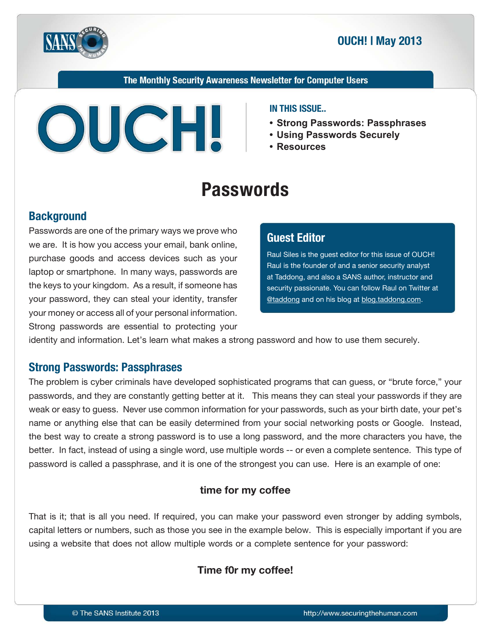

## **2013 May 2013**

The Monthly Security Awareness Newsletter for Computer Users



#### **IN THIS ISSUE..**

- **Strong Passwords: Passphrases**
- **Securely Passwords Using•**
- **Resources•**

# **Passwords**

## **Background**

Passwords are one of the primary ways we prove who we are. It is how you access your email, bank online, purchase goods and access devices such as your laptop or smartphone. In many ways, passwords are the keys to your kingdom. As a result, if someone has your password, they can steal your identity, transfer your money or access all of your personal information. Strong passwords are essential to protecting your

## **Editor Guest**

Raul Siles is the guest editor for this issue of OUCH! Raul is the founder of and a senior security analyst at Taddong, and also a SANS author, instructor and security passionate. You can follow Raul on Twitter at @taddong and on his blog at blog taddong.com.

identity and information. Let's learn what makes a strong password and how to use them securely.

### **Strong Passwords: Passphrases**

The problem is cyber criminals have developed sophisticated programs that can guess, or "brute force," your passwords, and they are constantly getting better at it. This means they can steal your passwords if they are weak or easy to guess. Never use common information for your passwords, such as your birth date, your pet's name or anything else that can be easily determined from your social networking posts or Google. Instead, the best way to create a strong password is to use a long password, and the more characters you have, the better. In fact, instead of using a single word, use multiple words -- or even a complete sentence. This type of password is called a passphrase, and it is one of the strongest you can use. Here is an example of one:

#### time for my coffee

That is it; that is all you need. If required, you can make your password even stronger by adding symbols, capital letters or numbers, such as those you see in the example below. This is especially important if you are using a website that does not allow multiple words or a complete sentence for your password:

### **Time f0r my coffee!**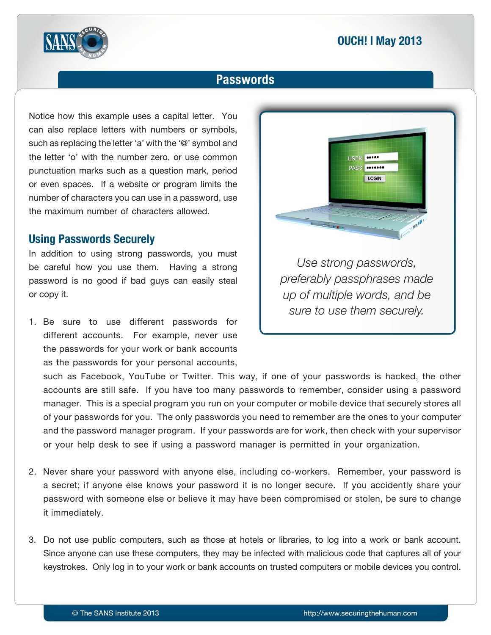## **2013 May 2013**



## **Passwords**

Notice how this example uses a capital letter. You can also replace letters with numbers or symbols, such as replacing the letter 'a' with the '@' symbol and the letter 'o' with the number zero, or use common punctuation marks such as a question mark, period or even spaces. If a website or program limits the number of characters you can use in a password, use the maximum number of characters allowed.

## **Using Passwords Securely**

In addition to using strong passwords, you must be careful how you use them. Having a strong password is no good if bad guys can easily steal or copy it.

1. Be sure to use different passwords for different accounts. For example, never use the passwords for your work or bank accounts as the passwords for your personal accounts,



Use strong passwords,  *made passphrases preferably up* of multiple words, and be sure to use them securely.

such as Facebook, YouTube or Twitter. This way, if one of your passwords is hacked, the other accounts are still safe. If you have too many passwords to remember, consider using a password manager. This is a special program you run on your computer or mobile device that securely stores all of your passwords for you. The only passwords you need to remember are the ones to your computer and the password manager program. If your passwords are for work, then check with your supervisor or your help desk to see if using a password manager is permitted in your organization.

- 2. Never share your password with anyone else, including co-workers. Remember, your password is a secret; if anyone else knows your password it is no longer secure. If you accidently share your password with someone else or believe it may have been compromised or stolen, be sure to change it immediately.
- 3. Do not use public computers, such as those at hotels or libraries, to log into a work or bank account. Since anyone can use these computers, they may be infected with malicious code that captures all of your keystrokes. Only log in to your work or bank accounts on trusted computers or mobile devices you control.